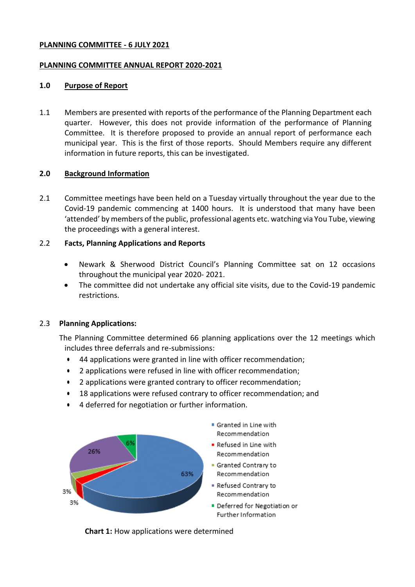### **PLANNING COMMITTEE - 6 JULY 2021**

### **PLANNING COMMITTEE ANNUAL REPORT 2020-2021**

### **1.0 Purpose of Report**

1.1 Members are presented with reports of the performance of the Planning Department each quarter. However, this does not provide information of the performance of Planning Committee. It is therefore proposed to provide an annual report of performance each municipal year. This is the first of those reports. Should Members require any different information in future reports, this can be investigated.

### **2.0 Background Information**

2.1 Committee meetings have been held on a Tuesday virtually throughout the year due to the Covid-19 pandemic commencing at 1400 hours. It is understood that many have been 'attended' by members of the public, professional agents etc. watching via You Tube, viewing the proceedings with a general interest.

### 2.2 **Facts, Planning Applications and Reports**

- Newark & Sherwood District Council's Planning Committee sat on 12 occasions throughout the municipal year 2020- 2021.
- The committee did not undertake any official site visits, due to the Covid-19 pandemic restrictions.

### 2.3 **Planning Applications:**

The Planning Committee determined 66 planning applications over the 12 meetings which includes three deferrals and re-submissions:

- 44 applications were granted in line with officer recommendation;
- 2 applications were refused in line with officer recommendation;
- 2 applications were granted contrary to officer recommendation;
- 18 applications were refused contrary to officer recommendation; and
- 4 deferred for negotiation or further information.



**Chart 1:** How applications were determined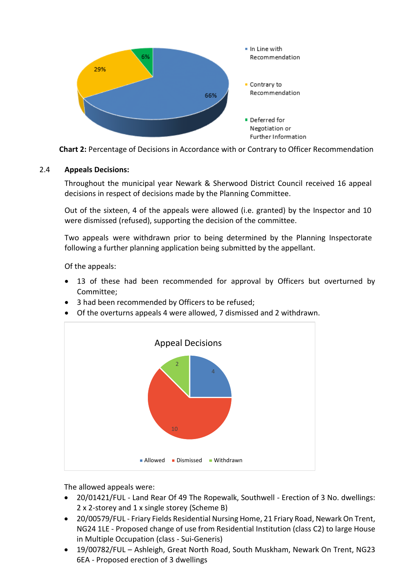

**Chart 2:** Percentage of Decisions in Accordance with or Contrary to Officer Recommendation

# 2.4 **Appeals Decisions:**

Throughout the municipal year Newark & Sherwood District Council received 16 appeal decisions in respect of decisions made by the Planning Committee.

Out of the sixteen, 4 of the appeals were allowed (i.e. granted) by the Inspector and 10 were dismissed (refused), supporting the decision of the committee.

Two appeals were withdrawn prior to being determined by the Planning Inspectorate following a further planning application being submitted by the appellant.

Of the appeals:

- 13 of these had been recommended for approval by Officers but overturned by Committee;
- 3 had been recommended by Officers to be refused:
- Of the overturns appeals 4 were allowed, 7 dismissed and 2 withdrawn.



The allowed appeals were:

- 20/01421/FUL Land Rear Of 49 The Ropewalk, Southwell Erection of 3 No. dwellings: 2 x 2-storey and 1 x single storey (Scheme B)
- 20/00579/FUL Friary Fields Residential Nursing Home, 21 Friary Road, Newark On Trent, NG24 1LE - Proposed change of use from Residential Institution (class C2) to large House in Multiple Occupation (class - Sui-Generis)
- 19/00782/FUL Ashleigh, Great North Road, South Muskham, Newark On Trent, NG23 6EA - Proposed erection of 3 dwellings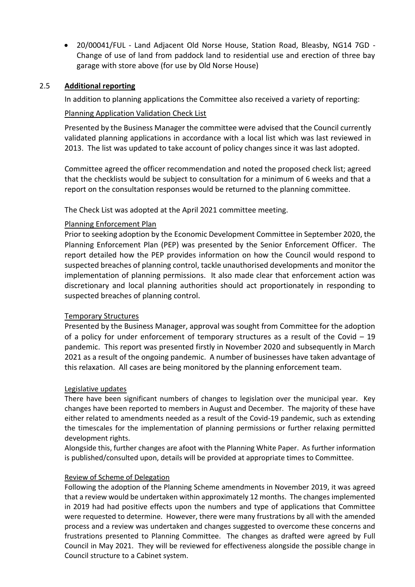20/00041/FUL - Land Adjacent Old Norse House, Station Road, Bleasby, NG14 7GD - Change of use of land from paddock land to residential use and erection of three bay garage with store above (for use by Old Norse House)

## 2.5 **Additional reporting**

In addition to planning applications the Committee also received a variety of reporting:

# Planning Application Validation Check List

Presented by the Business Manager the committee were advised that the Council currently validated planning applications in accordance with a local list which was last reviewed in 2013. The list was updated to take account of policy changes since it was last adopted.

Committee agreed the officer recommendation and noted the proposed check list; agreed that the checklists would be subject to consultation for a minimum of 6 weeks and that a report on the consultation responses would be returned to the planning committee.

The Check List was adopted at the April 2021 committee meeting.

## Planning Enforcement Plan

Prior to seeking adoption by the Economic Development Committee in September 2020, the Planning Enforcement Plan (PEP) was presented by the Senior Enforcement Officer. The report detailed how the PEP provides information on how the Council would respond to suspected breaches of planning control, tackle unauthorised developments and monitor the implementation of planning permissions. It also made clear that enforcement action was discretionary and local planning authorities should act proportionately in responding to suspected breaches of planning control.

### Temporary Structures

Presented by the Business Manager, approval was sought from Committee for the adoption of a policy for under enforcement of temporary structures as a result of the Covid – 19 pandemic. This report was presented firstly in November 2020 and subsequently in March 2021 as a result of the ongoing pandemic. A number of businesses have taken advantage of this relaxation. All cases are being monitored by the planning enforcement team.

### Legislative updates

There have been significant numbers of changes to legislation over the municipal year. Key changes have been reported to members in August and December. The majority of these have either related to amendments needed as a result of the Covid-19 pandemic, such as extending the timescales for the implementation of planning permissions or further relaxing permitted development rights.

Alongside this, further changes are afoot with the Planning White Paper. As further information is published/consulted upon, details will be provided at appropriate times to Committee.

### Review of Scheme of Delegation

Following the adoption of the Planning Scheme amendments in November 2019, it was agreed that a review would be undertaken within approximately 12 months. The changes implemented in 2019 had had positive effects upon the numbers and type of applications that Committee were requested to determine. However, there were many frustrations by all with the amended process and a review was undertaken and changes suggested to overcome these concerns and frustrations presented to Planning Committee. The changes as drafted were agreed by Full Council in May 2021. They will be reviewed for effectiveness alongside the possible change in Council structure to a Cabinet system.